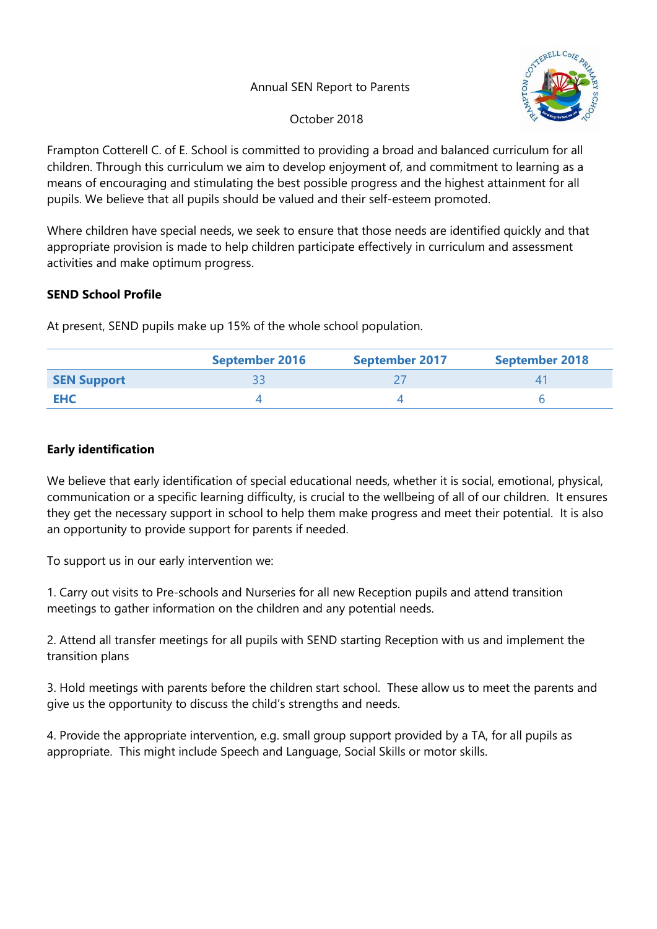## Annual SEN Report to Parents



October 2018

Frampton Cotterell C. of E. School is committed to providing a broad and balanced curriculum for all children. Through this curriculum we aim to develop enjoyment of, and commitment to learning as a means of encouraging and stimulating the best possible progress and the highest attainment for all pupils. We believe that all pupils should be valued and their self-esteem promoted.

Where children have special needs, we seek to ensure that those needs are identified quickly and that appropriate provision is made to help children participate effectively in curriculum and assessment activities and make optimum progress.

## **SEND School Profile**

At present, SEND pupils make up 15% of the whole school population.

|                    | <b>September 2016</b> | <b>September 2017</b> | <b>September 2018</b> |  |  |
|--------------------|-----------------------|-----------------------|-----------------------|--|--|
| <b>SEN Support</b> |                       |                       |                       |  |  |
| EHC                |                       |                       |                       |  |  |

## **Early identification**

We believe that early identification of special educational needs, whether it is social, emotional, physical, communication or a specific learning difficulty, is crucial to the wellbeing of all of our children. It ensures they get the necessary support in school to help them make progress and meet their potential. It is also an opportunity to provide support for parents if needed.

To support us in our early intervention we:

1. Carry out visits to Pre-schools and Nurseries for all new Reception pupils and attend transition meetings to gather information on the children and any potential needs.

2. Attend all transfer meetings for all pupils with SEND starting Reception with us and implement the transition plans

3. Hold meetings with parents before the children start school. These allow us to meet the parents and give us the opportunity to discuss the child's strengths and needs.

4. Provide the appropriate intervention, e.g. small group support provided by a TA, for all pupils as appropriate. This might include Speech and Language, Social Skills or motor skills.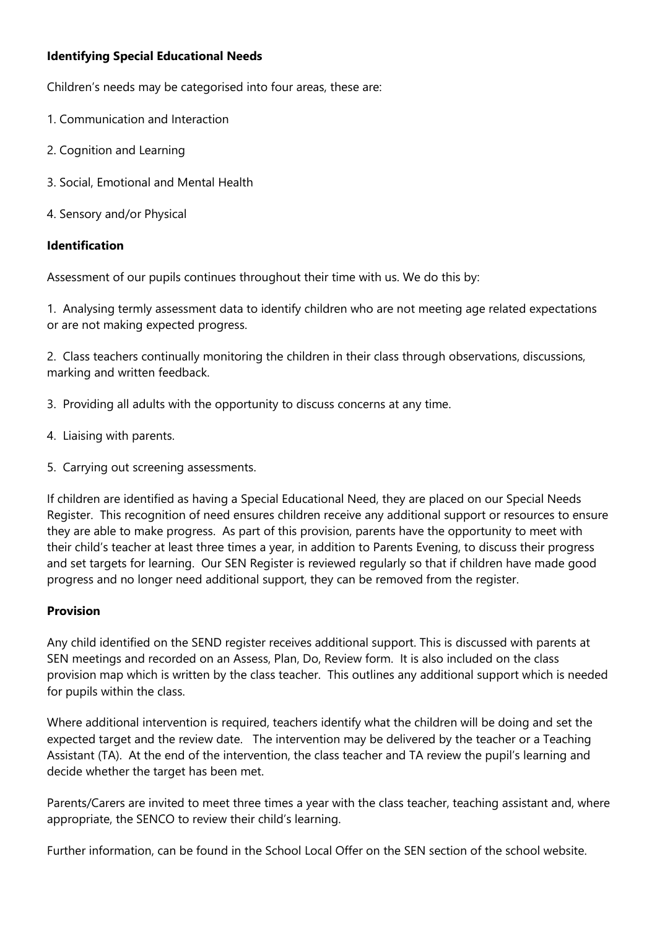# **Identifying Special Educational Needs**

Children's needs may be categorised into four areas, these are:

- 1. Communication and Interaction
- 2. Cognition and Learning
- 3. Social, Emotional and Mental Health
- 4. Sensory and/or Physical

#### **Identification**

Assessment of our pupils continues throughout their time with us. We do this by:

1. Analysing termly assessment data to identify children who are not meeting age related expectations or are not making expected progress.

2. Class teachers continually monitoring the children in their class through observations, discussions, marking and written feedback.

- 3. Providing all adults with the opportunity to discuss concerns at any time.
- 4. Liaising with parents.
- 5. Carrying out screening assessments.

If children are identified as having a Special Educational Need, they are placed on our Special Needs Register. This recognition of need ensures children receive any additional support or resources to ensure they are able to make progress. As part of this provision, parents have the opportunity to meet with their child's teacher at least three times a year, in addition to Parents Evening, to discuss their progress and set targets for learning. Our SEN Register is reviewed regularly so that if children have made good progress and no longer need additional support, they can be removed from the register.

#### **Provision**

Any child identified on the SEND register receives additional support. This is discussed with parents at SEN meetings and recorded on an Assess, Plan, Do, Review form. It is also included on the class provision map which is written by the class teacher. This outlines any additional support which is needed for pupils within the class.

Where additional intervention is required, teachers identify what the children will be doing and set the expected target and the review date. The intervention may be delivered by the teacher or a Teaching Assistant (TA). At the end of the intervention, the class teacher and TA review the pupil's learning and decide whether the target has been met.

Parents/Carers are invited to meet three times a year with the class teacher, teaching assistant and, where appropriate, the SENCO to review their child's learning.

Further information, can be found in the School Local Offer on the SEN section of the school website.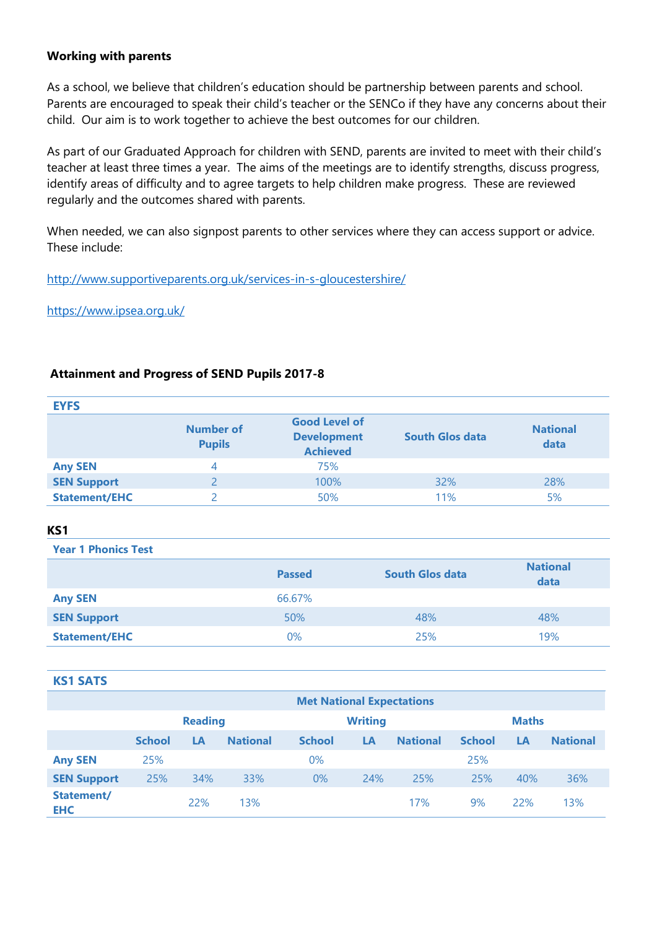### **Working with parents**

As a school, we believe that children's education should be partnership between parents and school. Parents are encouraged to speak their child's teacher or the SENCo if they have any concerns about their child. Our aim is to work together to achieve the best outcomes for our children.

As part of our Graduated Approach for children with SEND, parents are invited to meet with their child's teacher at least three times a year. The aims of the meetings are to identify strengths, discuss progress, identify areas of difficulty and to agree targets to help children make progress. These are reviewed regularly and the outcomes shared with parents.

When needed, we can also signpost parents to other services where they can access support or advice. These include:

<http://www.supportiveparents.org.uk/services-in-s-gloucestershire/>

<https://www.ipsea.org.uk/>

#### **Attainment and Progress of SEND Pupils 2017‐8**

| <b>EYFS</b>          |                            |                                                               |                        |                         |
|----------------------|----------------------------|---------------------------------------------------------------|------------------------|-------------------------|
|                      | Number of<br><b>Pupils</b> | <b>Good Level of</b><br><b>Development</b><br><b>Achieved</b> | <b>South Glos data</b> | <b>National</b><br>data |
| <b>Any SEN</b>       | 4                          | 75%                                                           |                        |                         |
| <b>SEN Support</b>   |                            | 100%                                                          | 32%                    | 28%                     |
| <b>Statement/EHC</b> |                            | 50%                                                           | 11%                    | 5%                      |

#### **KS1**

**Year 1 Phonics Test**

|                      | <b>Passed</b> | <b>South Glos data</b> | <b>National</b><br>data |
|----------------------|---------------|------------------------|-------------------------|
| <b>Any SEN</b>       | 66.67%        |                        |                         |
| <b>SEN Support</b>   | 50%           | 48%                    | 48%                     |
| <b>Statement/EHC</b> | $0\%$         | 25%                    | 19%                     |

#### **KS1 SATS**

|                          | <b>Met National Expectations</b> |     |                 |                |     |                 |               |     |                 |
|--------------------------|----------------------------------|-----|-----------------|----------------|-----|-----------------|---------------|-----|-----------------|
|                          | <b>Reading</b>                   |     |                 | <b>Writing</b> |     |                 | <b>Maths</b>  |     |                 |
|                          | <b>School</b>                    | LA  | <b>National</b> | <b>School</b>  | LA  | <b>National</b> | <b>School</b> | LA  | <b>National</b> |
| <b>Any SEN</b>           | 25%                              |     |                 | $0\%$          |     |                 | 25%           |     |                 |
| <b>SEN Support</b>       | 25%                              | 34% | 33%             | $0\%$          | 24% | 25%             | 25%           | 40% | 36%             |
| Statement/<br><b>EHC</b> |                                  | 22% | 13%             |                |     | 17%             | 9%            | 22% | 13%             |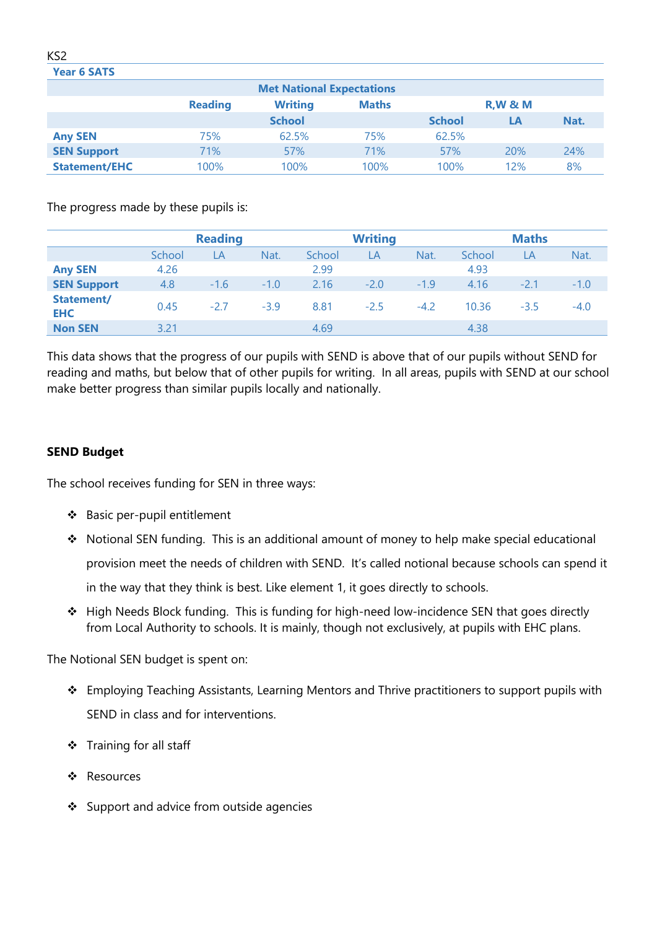#### **Year 6 SATS**

| <b>Met National Expectations</b> |                                                                         |               |      |               |     |      |  |  |  |
|----------------------------------|-------------------------------------------------------------------------|---------------|------|---------------|-----|------|--|--|--|
|                                  | <b>R, W &amp; M</b><br><b>Writing</b><br><b>Reading</b><br><b>Maths</b> |               |      |               |     |      |  |  |  |
|                                  |                                                                         | <b>School</b> |      | <b>School</b> | LΑ  | Nat. |  |  |  |
| <b>Any SEN</b>                   | 75%                                                                     | 62.5%         | 75%  | 62.5%         |     |      |  |  |  |
| <b>SEN Support</b>               | 71%                                                                     | 57%           | 71%  | 57%           | 20% | 24%  |  |  |  |
| <b>Statement/EHC</b>             | 100%                                                                    | 100%          | 100% | 100%          | 12% | 8%   |  |  |  |
|                                  |                                                                         |               |      |               |     |      |  |  |  |

The progress made by these pupils is:

|                          | <b>Reading</b> |        |        | <b>Writing</b> |        |        | <b>Maths</b> |        |        |
|--------------------------|----------------|--------|--------|----------------|--------|--------|--------------|--------|--------|
|                          | School         | LA     | Nat.   | School         | LA     | Nat.   | School       | LA     | Nat.   |
| <b>Any SEN</b>           | 4.26           |        |        | 2.99           |        |        | 4.93         |        |        |
| <b>SEN Support</b>       | 4.8            | $-1.6$ | $-1.0$ | 2.16           | $-2.0$ | $-1.9$ | 4.16         | $-2.1$ | $-1.0$ |
| Statement/<br><b>EHC</b> | 0.45           | $-2.7$ | $-3.9$ | 8.81           | $-2.5$ | $-4.2$ | 10.36        | $-3.5$ | $-4.0$ |
| <b>Non SEN</b>           | 3.21           |        |        | 4.69           |        |        | 4.38         |        |        |

This data shows that the progress of our pupils with SEND is above that of our pupils without SEND for reading and maths, but below that of other pupils for writing. In all areas, pupils with SEND at our school make better progress than similar pupils locally and nationally.

## **SEND Budget**

The school receives funding for SEN in three ways:

- ❖ Basic per-pupil entitlement
- ❖ Notional SEN funding. This is an additional amount of money to help make special educational provision meet the needs of children with SEND. It's called notional because schools can spend it in the way that they think is best. Like element 1, it goes directly to schools.
- ❖ High Needs Block funding. This is funding for high-need low-incidence SEN that goes directly from Local Authority to schools. It is mainly, though not exclusively, at pupils with EHC plans.

The Notional SEN budget is spent on:

- ❖ Employing Teaching Assistants, Learning Mentors and Thrive practitioners to support pupils with SEND in class and for interventions.
- ❖ Training for all staff
- ❖ Resources
- ❖ Support and advice from outside agencies